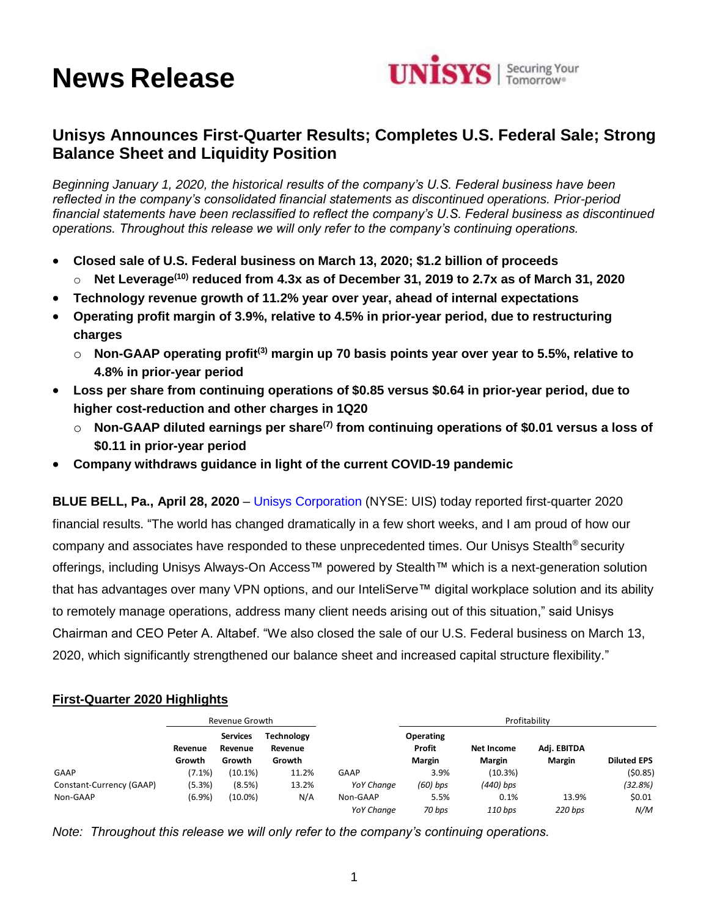# **News Release**



## **Unisys Announces First-Quarter Results; Completes U.S. Federal Sale; Strong Balance Sheet and Liquidity Position**

*Beginning January 1, 2020, the historical results of the company's U.S. Federal business have been reflected in the company's consolidated financial statements as discontinued operations. Prior-period financial statements have been reclassified to reflect the company's U.S. Federal business as discontinued operations. Throughout this release we will only refer to the company's continuing operations.*

- **Closed sale of U.S. Federal business on March 13, 2020; \$1.2 billion of proceeds**
	- o **Net Leverage(10) reduced from 4.3x as of December 31, 2019 to 2.7x as of March 31, 2020**
- **Technology revenue growth of 11.2% year over year, ahead of internal expectations**
- **Operating profit margin of 3.9%, relative to 4.5% in prior-year period, due to restructuring charges** 
	- o **Non-GAAP operating profit(3) margin up 70 basis points year over year to 5.5%, relative to 4.8% in prior-year period**
- **Loss per share from continuing operations of \$0.85 versus \$0.64 in prior-year period, due to higher cost-reduction and other charges in 1Q20**
	- o **Non-GAAP diluted earnings per share(7) from continuing operations of \$0.01 versus a loss of \$0.11 in prior-year period**
- **Company withdraws guidance in light of the current COVID-19 pandemic**

**BLUE BELL, Pa., April 28, 2020** – [Unisys Corporation](http://www.unisys.com/) (NYSE: UIS) today reported first-quarter 2020 financial results. "The world has changed dramatically in a few short weeks, and I am proud of how our company and associates have responded to these unprecedented times. Our Unisys Stealth® security offerings, including Unisys Always-On Access™ powered by Stealth™ which is a next-generation solution that has advantages over many VPN options, and our InteliServe™ digital workplace solution and its ability to remotely manage operations, address many client needs arising out of this situation," said Unisys Chairman and CEO Peter A. Altabef. "We also closed the sale of our U.S. Federal business on March 13, 2020, which significantly strengthened our balance sheet and increased capital structure flexibility."

## **First-Quarter 2020 Highlights**

|                          |           | Revenue Growth             |                              |                   | Profitability       |             |             |                    |
|--------------------------|-----------|----------------------------|------------------------------|-------------------|---------------------|-------------|-------------|--------------------|
|                          | Revenue   | <b>Services</b><br>Revenue | <b>Technology</b><br>Revenue |                   | Operating<br>Profit | Net Income  | Adj. EBITDA |                    |
|                          | Growth    | Growth                     | Growth                       |                   | <b>Margin</b>       | Margin      | Margin      | <b>Diluted EPS</b> |
| GAAP                     | $(7.1\%)$ | (10.1%)                    | 11.2%                        | GAAP              | 3.9%                | (10.3%)     |             | (50.85)            |
| Constant-Currency (GAAP) | (5.3%)    | (8.5%)                     | 13.2%                        | <b>YoY Change</b> | $(60)$ bps          | $(440)$ bps |             | (32.8%)            |
| Non-GAAP                 | (6.9%)    | $(10.0\%)$                 | N/A                          | Non-GAAP          | 5.5%                | 0.1%        | 13.9%       | \$0.01             |
|                          |           |                            |                              | YoY Change        | 70 bps              | 110 bps     | 220 bps     | N/M                |

*Note: Throughout this release we will only refer to the company's continuing operations.*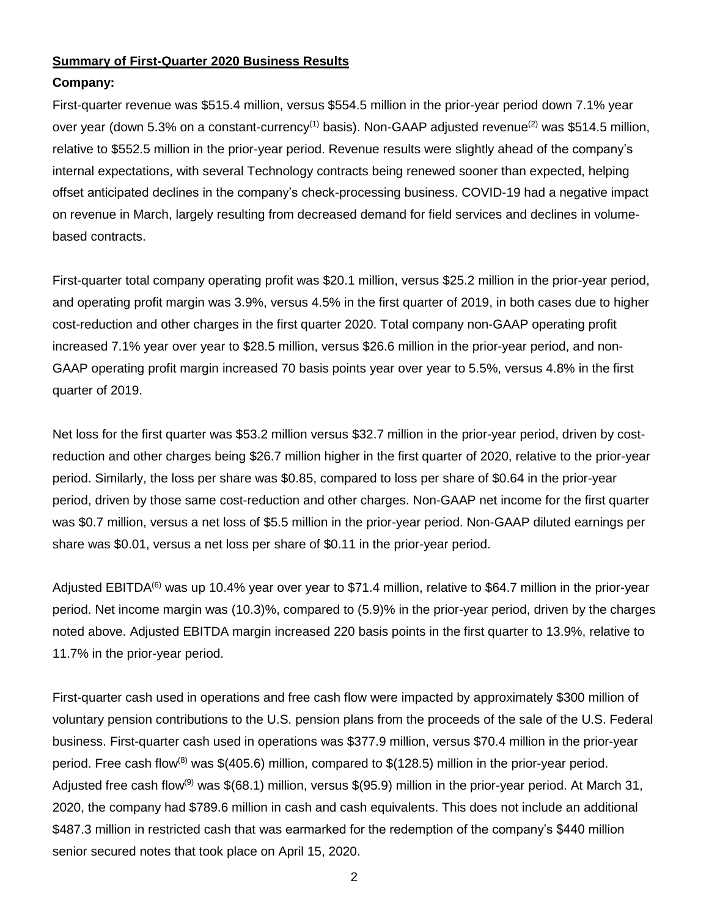## **Summary of First-Quarter 2020 Business Results**

## **Company:**

First-quarter revenue was \$515.4 million, versus \$554.5 million in the prior-year period down 7.1% year over year (down 5.3% on a constant-currency<sup>(1)</sup> basis). Non-GAAP adjusted revenue<sup>(2)</sup> was \$514.5 million, relative to \$552.5 million in the prior-year period. Revenue results were slightly ahead of the company's internal expectations, with several Technology contracts being renewed sooner than expected, helping offset anticipated declines in the company's check-processing business. COVID-19 had a negative impact on revenue in March, largely resulting from decreased demand for field services and declines in volumebased contracts.

First-quarter total company operating profit was \$20.1 million, versus \$25.2 million in the prior-year period, and operating profit margin was 3.9%, versus 4.5% in the first quarter of 2019, in both cases due to higher cost-reduction and other charges in the first quarter 2020. Total company non-GAAP operating profit increased 7.1% year over year to \$28.5 million, versus \$26.6 million in the prior-year period, and non-GAAP operating profit margin increased 70 basis points year over year to 5.5%, versus 4.8% in the first quarter of 2019.

Net loss for the first quarter was \$53.2 million versus \$32.7 million in the prior-year period, driven by costreduction and other charges being \$26.7 million higher in the first quarter of 2020, relative to the prior-year period. Similarly, the loss per share was \$0.85, compared to loss per share of \$0.64 in the prior-year period, driven by those same cost-reduction and other charges. Non-GAAP net income for the first quarter was \$0.7 million, versus a net loss of \$5.5 million in the prior-year period. Non-GAAP diluted earnings per share was \$0.01, versus a net loss per share of \$0.11 in the prior-year period.

Adjusted EBITDA<sup>(6)</sup> was up 10.4% year over year to \$71.4 million, relative to \$64.7 million in the prior-year period. Net income margin was (10.3)%, compared to (5.9)% in the prior-year period, driven by the charges noted above. Adjusted EBITDA margin increased 220 basis points in the first quarter to 13.9%, relative to 11.7% in the prior-year period.

First-quarter cash used in operations and free cash flow were impacted by approximately \$300 million of voluntary pension contributions to the U.S. pension plans from the proceeds of the sale of the U.S. Federal business. First-quarter cash used in operations was \$377.9 million, versus \$70.4 million in the prior-year period. Free cash flow<sup>(8)</sup> was  $$(405.6)$  million, compared to  $$(128.5)$  million in the prior-year period. Adjusted free cash flow<sup>(9)</sup> was \$(68.1) million, versus \$(95.9) million in the prior-year period. At March 31, 2020, the company had \$789.6 million in cash and cash equivalents. This does not include an additional \$487.3 million in restricted cash that was earmarked for the redemption of the company's \$440 million senior secured notes that took place on April 15, 2020.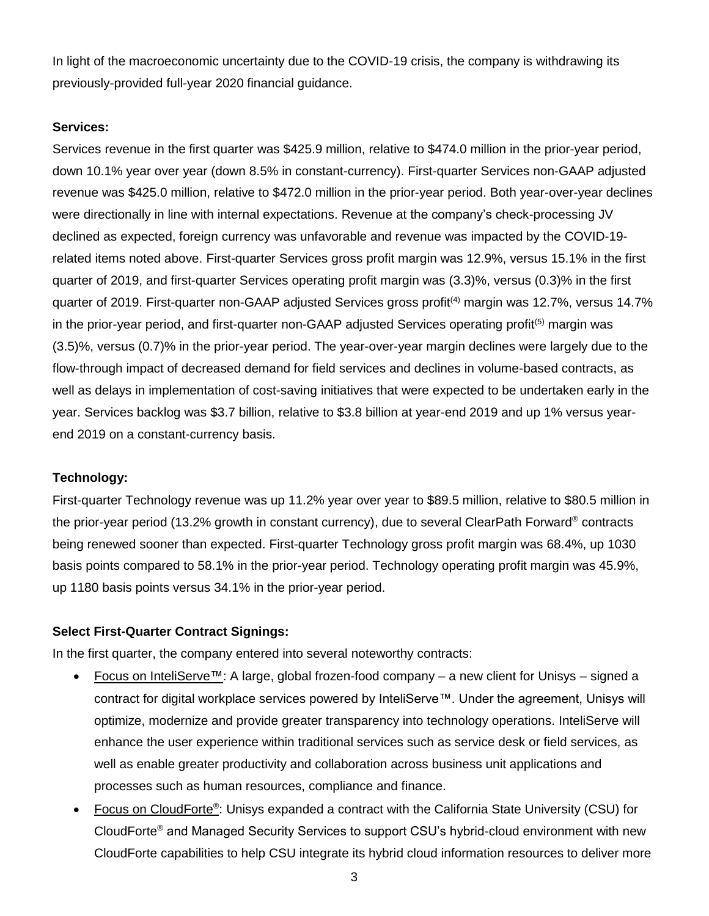In light of the macroeconomic uncertainty due to the COVID-19 crisis, the company is withdrawing its previously-provided full-year 2020 financial guidance.

## **Services:**

Services revenue in the first quarter was \$425.9 million, relative to \$474.0 million in the prior-year period, down 10.1% year over year (down 8.5% in constant-currency). First-quarter Services non-GAAP adjusted revenue was \$425.0 million, relative to \$472.0 million in the prior-year period. Both year-over-year declines were directionally in line with internal expectations. Revenue at the company's check-processing JV declined as expected, foreign currency was unfavorable and revenue was impacted by the COVID-19 related items noted above. First-quarter Services gross profit margin was 12.9%, versus 15.1% in the first quarter of 2019, and first-quarter Services operating profit margin was (3.3)%, versus (0.3)% in the first quarter of 2019. First-quarter non-GAAP adjusted Services gross profit<sup>(4)</sup> margin was 12.7%, versus 14.7% in the prior-year period, and first-quarter non-GAAP adjusted Services operating profit<sup>(5)</sup> margin was (3.5)%, versus (0.7)% in the prior-year period. The year-over-year margin declines were largely due to the flow-through impact of decreased demand for field services and declines in volume-based contracts, as well as delays in implementation of cost-saving initiatives that were expected to be undertaken early in the year. Services backlog was \$3.7 billion, relative to \$3.8 billion at year-end 2019 and up 1% versus yearend 2019 on a constant-currency basis.

## **Technology:**

First-quarter Technology revenue was up 11.2% year over year to \$89.5 million, relative to \$80.5 million in the prior-year period (13.2% growth in constant currency), due to several ClearPath Forward® contracts being renewed sooner than expected. First-quarter Technology gross profit margin was 68.4%, up 1030 basis points compared to 58.1% in the prior-year period. Technology operating profit margin was 45.9%, up 1180 basis points versus 34.1% in the prior-year period.

## **Select First-Quarter Contract Signings:**

In the first quarter, the company entered into several noteworthy contracts:

- Focus on InteliServe™: A large, global frozen-food company a new client for Unisys signed a contract for digital workplace services powered by InteliServe™. Under the agreement, Unisys will optimize, modernize and provide greater transparency into technology operations. InteliServe will enhance the user experience within traditional services such as service desk or field services, as well as enable greater productivity and collaboration across business unit applications and processes such as human resources, compliance and finance.
- Focus on CloudForte<sup>®</sup>: Unisys expanded a contract with the California State University (CSU) for CloudForte® and Managed Security Services to support CSU's hybrid-cloud environment with new CloudForte capabilities to help CSU integrate its hybrid cloud information resources to deliver more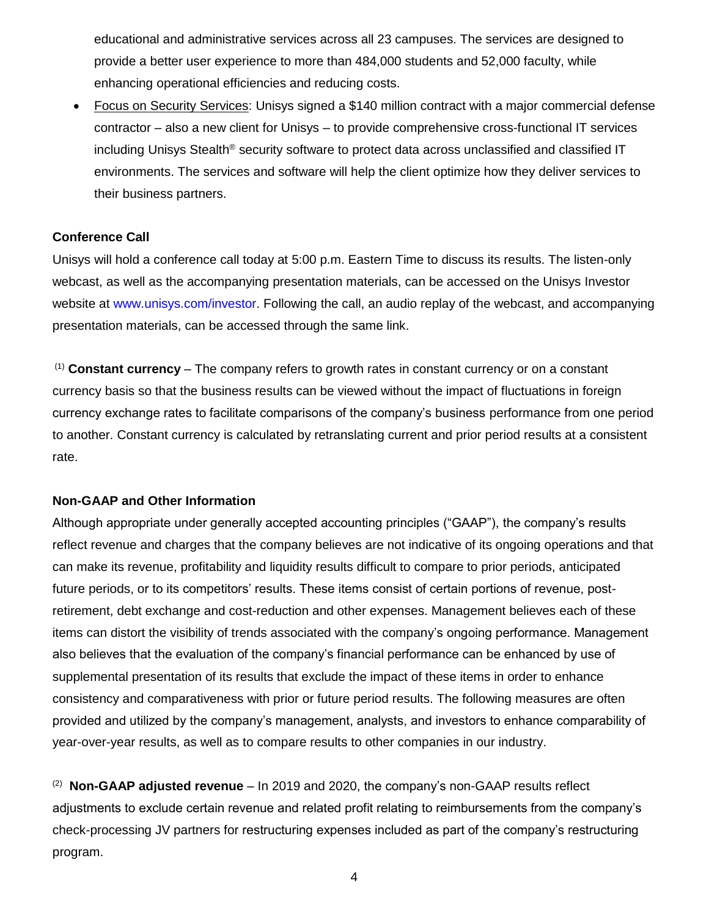educational and administrative services across all 23 campuses. The services are designed to provide a better user experience to more than 484,000 students and 52,000 faculty, while enhancing operational efficiencies and reducing costs.

• Focus on Security Services: Unisys signed a \$140 million contract with a major commercial defense contractor – also a new client for Unisys – to provide comprehensive cross-functional IT services including Unisys Stealth® security software to protect data across unclassified and classified IT environments. The services and software will help the client optimize how they deliver services to their business partners.

## **Conference Call**

Unisys will hold a conference call today at 5:00 p.m. Eastern Time to discuss its results. The listen-only webcast, as well as the accompanying presentation materials, can be accessed on the Unisys Investor website at [www.unisys.com/investor.](http://www.unisys.com/investor) Following the call, an audio replay of the webcast, and accompanying presentation materials, can be accessed through the same link.

(1) **Constant currency** – The company refers to growth rates in constant currency or on a constant currency basis so that the business results can be viewed without the impact of fluctuations in foreign currency exchange rates to facilitate comparisons of the company's business performance from one period to another. Constant currency is calculated by retranslating current and prior period results at a consistent rate.

## **Non-GAAP and Other Information**

Although appropriate under generally accepted accounting principles ("GAAP"), the company's results reflect revenue and charges that the company believes are not indicative of its ongoing operations and that can make its revenue, profitability and liquidity results difficult to compare to prior periods, anticipated future periods, or to its competitors' results. These items consist of certain portions of revenue, postretirement, debt exchange and cost-reduction and other expenses. Management believes each of these items can distort the visibility of trends associated with the company's ongoing performance. Management also believes that the evaluation of the company's financial performance can be enhanced by use of supplemental presentation of its results that exclude the impact of these items in order to enhance consistency and comparativeness with prior or future period results. The following measures are often provided and utilized by the company's management, analysts, and investors to enhance comparability of year-over-year results, as well as to compare results to other companies in our industry.

<sup>(2)</sup> Non-GAAP adjusted revenue – In 2019 and 2020, the company's non-GAAP results reflect adjustments to exclude certain revenue and related profit relating to reimbursements from the company's check-processing JV partners for restructuring expenses included as part of the company's restructuring program.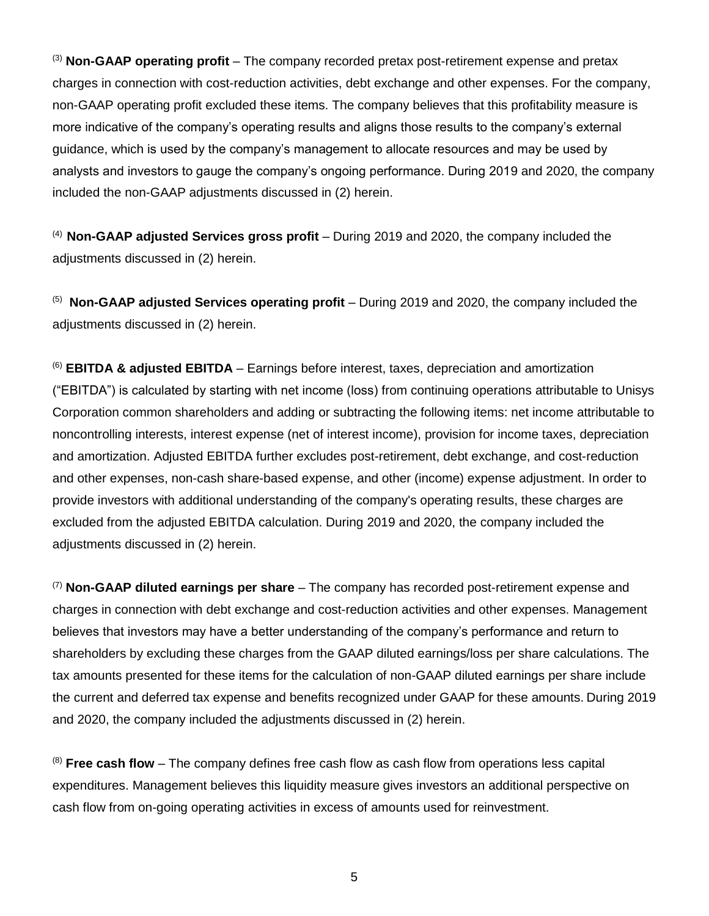(3) **Non-GAAP operating profit** – The company recorded pretax post-retirement expense and pretax charges in connection with cost-reduction activities, debt exchange and other expenses. For the company, non-GAAP operating profit excluded these items. The company believes that this profitability measure is more indicative of the company's operating results and aligns those results to the company's external guidance, which is used by the company's management to allocate resources and may be used by analysts and investors to gauge the company's ongoing performance. During 2019 and 2020, the company included the non-GAAP adjustments discussed in (2) herein.

(4) **Non-GAAP adjusted Services gross profit** – During 2019 and 2020, the company included the adjustments discussed in (2) herein.

(5) **Non-GAAP adjusted Services operating profit** – During 2019 and 2020, the company included the adjustments discussed in (2) herein.

(6) **EBITDA & adjusted EBITDA** – Earnings before interest, taxes, depreciation and amortization ("EBITDA") is calculated by starting with net income (loss) from continuing operations attributable to Unisys Corporation common shareholders and adding or subtracting the following items: net income attributable to noncontrolling interests, interest expense (net of interest income), provision for income taxes, depreciation and amortization. Adjusted EBITDA further excludes post-retirement, debt exchange, and cost-reduction and other expenses, non-cash share-based expense, and other (income) expense adjustment. In order to provide investors with additional understanding of the company's operating results, these charges are excluded from the adjusted EBITDA calculation. During 2019 and 2020, the company included the adjustments discussed in (2) herein.

(7) **Non-GAAP diluted earnings per share** – The company has recorded post-retirement expense and charges in connection with debt exchange and cost-reduction activities and other expenses. Management believes that investors may have a better understanding of the company's performance and return to shareholders by excluding these charges from the GAAP diluted earnings/loss per share calculations. The tax amounts presented for these items for the calculation of non-GAAP diluted earnings per share include the current and deferred tax expense and benefits recognized under GAAP for these amounts. During 2019 and 2020, the company included the adjustments discussed in (2) herein.

(8) **Free cash flow** – The company defines free cash flow as cash flow from operations less capital expenditures. Management believes this liquidity measure gives investors an additional perspective on cash flow from on-going operating activities in excess of amounts used for reinvestment.

5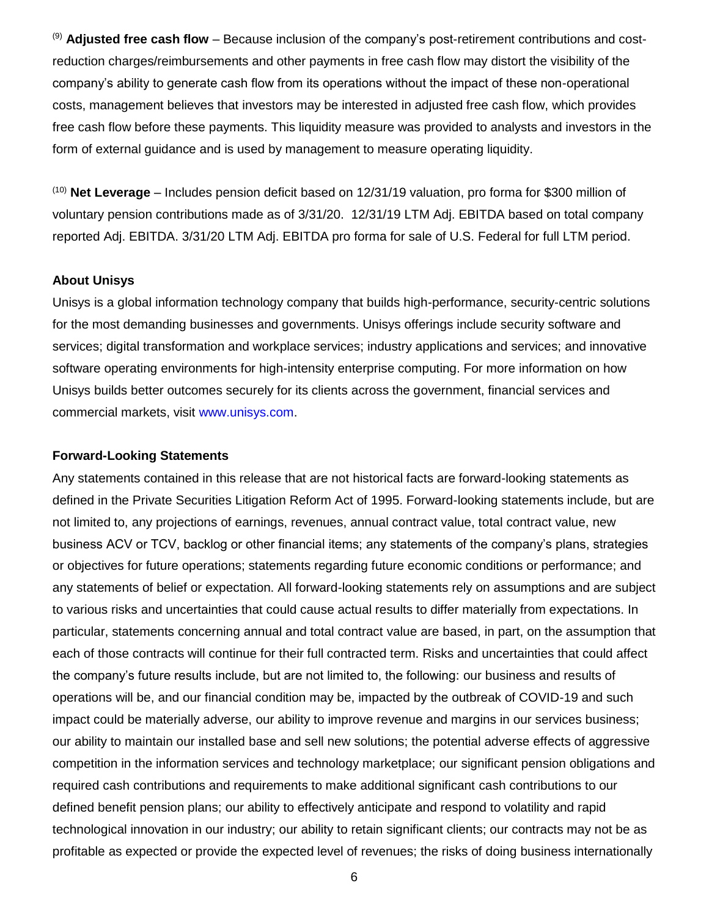(9) **Adjusted free cash flow** – Because inclusion of the company's post-retirement contributions and costreduction charges/reimbursements and other payments in free cash flow may distort the visibility of the company's ability to generate cash flow from its operations without the impact of these non-operational costs, management believes that investors may be interested in adjusted free cash flow, which provides free cash flow before these payments. This liquidity measure was provided to analysts and investors in the form of external guidance and is used by management to measure operating liquidity.

(10) **Net Leverage** – Includes pension deficit based on 12/31/19 valuation, pro forma for \$300 million of voluntary pension contributions made as of 3/31/20. 12/31/19 LTM Adj. EBITDA based on total company reported Adj. EBITDA. 3/31/20 LTM Adj. EBITDA pro forma for sale of U.S. Federal for full LTM period.

#### **About Unisys**

Unisys is a global information technology company that builds high-performance, security-centric solutions for the most demanding businesses and governments. Unisys offerings include security software and services; digital transformation and workplace services; industry applications and services; and innovative software operating environments for high-intensity enterprise computing. For more information on how Unisys builds better outcomes securely for its clients across the government, financial services and commercial markets, visit [www.unisys.com.](http://www.unisys.com/)

#### **Forward-Looking Statements**

Any statements contained in this release that are not historical facts are forward-looking statements as defined in the Private Securities Litigation Reform Act of 1995. Forward-looking statements include, but are not limited to, any projections of earnings, revenues, annual contract value, total contract value, new business ACV or TCV, backlog or other financial items; any statements of the company's plans, strategies or objectives for future operations; statements regarding future economic conditions or performance; and any statements of belief or expectation. All forward-looking statements rely on assumptions and are subject to various risks and uncertainties that could cause actual results to differ materially from expectations. In particular, statements concerning annual and total contract value are based, in part, on the assumption that each of those contracts will continue for their full contracted term. Risks and uncertainties that could affect the company's future results include, but are not limited to, the following: our business and results of operations will be, and our financial condition may be, impacted by the outbreak of COVID-19 and such impact could be materially adverse, our ability to improve revenue and margins in our services business; our ability to maintain our installed base and sell new solutions; the potential adverse effects of aggressive competition in the information services and technology marketplace; our significant pension obligations and required cash contributions and requirements to make additional significant cash contributions to our defined benefit pension plans; our ability to effectively anticipate and respond to volatility and rapid technological innovation in our industry; our ability to retain significant clients; our contracts may not be as profitable as expected or provide the expected level of revenues; the risks of doing business internationally

6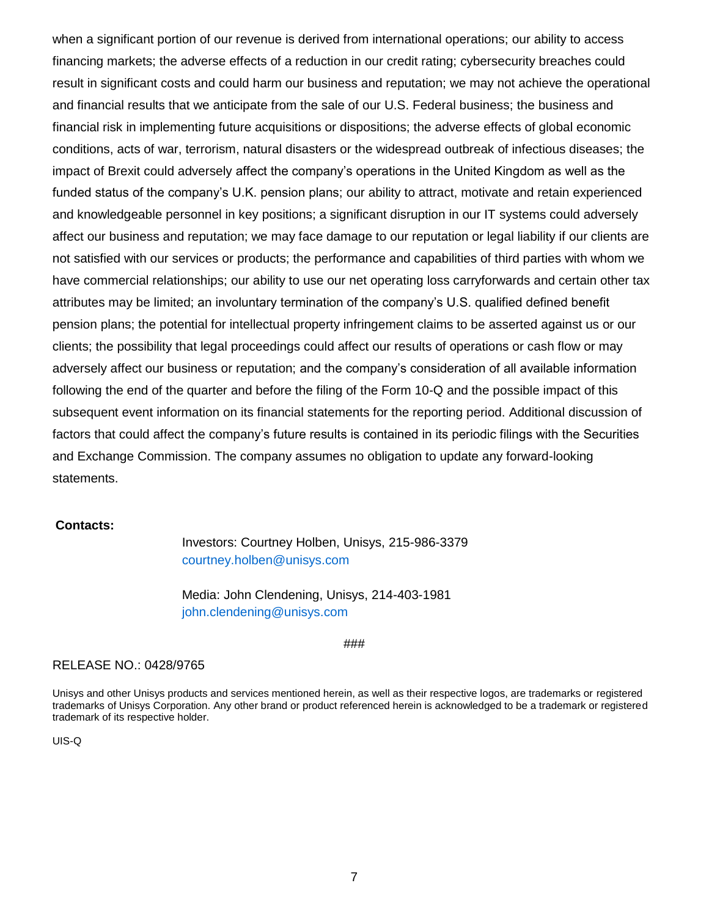when a significant portion of our revenue is derived from international operations; our ability to access financing markets; the adverse effects of a reduction in our credit rating; cybersecurity breaches could result in significant costs and could harm our business and reputation; we may not achieve the operational and financial results that we anticipate from the sale of our U.S. Federal business; the business and financial risk in implementing future acquisitions or dispositions; the adverse effects of global economic conditions, acts of war, terrorism, natural disasters or the widespread outbreak of infectious diseases; the impact of Brexit could adversely affect the company's operations in the United Kingdom as well as the funded status of the company's U.K. pension plans; our ability to attract, motivate and retain experienced and knowledgeable personnel in key positions; a significant disruption in our IT systems could adversely affect our business and reputation; we may face damage to our reputation or legal liability if our clients are not satisfied with our services or products; the performance and capabilities of third parties with whom we have commercial relationships; our ability to use our net operating loss carryforwards and certain other tax attributes may be limited; an involuntary termination of the company's U.S. qualified defined benefit pension plans; the potential for intellectual property infringement claims to be asserted against us or our clients; the possibility that legal proceedings could affect our results of operations or cash flow or may adversely affect our business or reputation; and the company's consideration of all available information following the end of the quarter and before the filing of the Form 10-Q and the possible impact of this subsequent event information on its financial statements for the reporting period. Additional discussion of factors that could affect the company's future results is contained in its periodic filings with the Securities and Exchange Commission. The company assumes no obligation to update any forward-looking statements.

#### **Contacts:**

Investors: Courtney Holben, Unisys, 215-986-3379 courtney.holben@unisys.com

Media: John Clendening, Unisys, 214-403-1981 john.clendening@unisys.com

###

#### RELEASE NO.: 0428/9765

Unisys and other Unisys products and services mentioned herein, as well as their respective logos, are trademarks or registered trademarks of Unisys Corporation. Any other brand or product referenced herein is acknowledged to be a trademark or registered trademark of its respective holder.

UIS-Q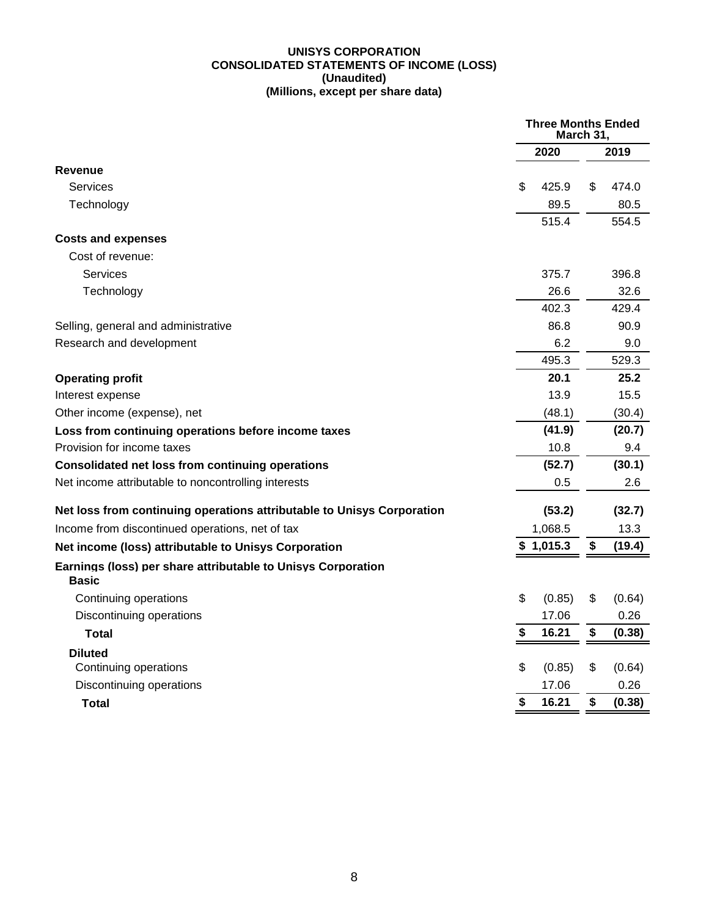#### **UNISYS CORPORATION CONSOLIDATED STATEMENTS OF INCOME (LOSS) (Unaudited) (Millions, except per share data)**

|                                                                              |    | <b>Three Months Ended</b><br>March 31, |    |        |
|------------------------------------------------------------------------------|----|----------------------------------------|----|--------|
|                                                                              |    | 2020                                   |    | 2019   |
| <b>Revenue</b>                                                               |    |                                        |    |        |
| Services                                                                     | \$ | 425.9                                  | \$ | 474.0  |
| Technology                                                                   |    | 89.5                                   |    | 80.5   |
|                                                                              |    | 515.4                                  |    | 554.5  |
| <b>Costs and expenses</b>                                                    |    |                                        |    |        |
| Cost of revenue:                                                             |    |                                        |    |        |
| Services                                                                     |    | 375.7                                  |    | 396.8  |
| Technology                                                                   |    | 26.6                                   |    | 32.6   |
|                                                                              |    | 402.3                                  |    | 429.4  |
| Selling, general and administrative                                          |    | 86.8                                   |    | 90.9   |
| Research and development                                                     |    | 6.2                                    |    | 9.0    |
|                                                                              |    | 495.3                                  |    | 529.3  |
| <b>Operating profit</b>                                                      |    | 20.1                                   |    | 25.2   |
| Interest expense                                                             |    | 13.9                                   |    | 15.5   |
| Other income (expense), net                                                  |    | (48.1)                                 |    | (30.4) |
| Loss from continuing operations before income taxes                          |    | (41.9)                                 |    | (20.7) |
| Provision for income taxes                                                   |    | 10.8                                   |    | 9.4    |
| <b>Consolidated net loss from continuing operations</b>                      |    | (52.7)                                 |    | (30.1) |
| Net income attributable to noncontrolling interests                          |    | 0.5                                    |    | 2.6    |
| Net loss from continuing operations attributable to Unisys Corporation       |    | (53.2)                                 |    | (32.7) |
| Income from discontinued operations, net of tax                              |    | 1,068.5                                |    | 13.3   |
| Net income (loss) attributable to Unisys Corporation                         |    | \$1,015.3                              | \$ | (19.4) |
| Earnings (loss) per share attributable to Unisys Corporation<br><b>Basic</b> |    |                                        |    |        |
| Continuing operations                                                        | \$ | (0.85)                                 | \$ | (0.64) |
| Discontinuing operations                                                     |    | 17.06                                  |    | 0.26   |
| <b>Total</b>                                                                 | S  | 16.21                                  | \$ | (0.38) |
| <b>Diluted</b>                                                               |    |                                        |    |        |
| Continuing operations                                                        | \$ | (0.85)                                 | \$ | (0.64) |
| Discontinuing operations                                                     |    | 17.06                                  |    | 0.26   |
| Total                                                                        | \$ | 16.21                                  | \$ | (0.38) |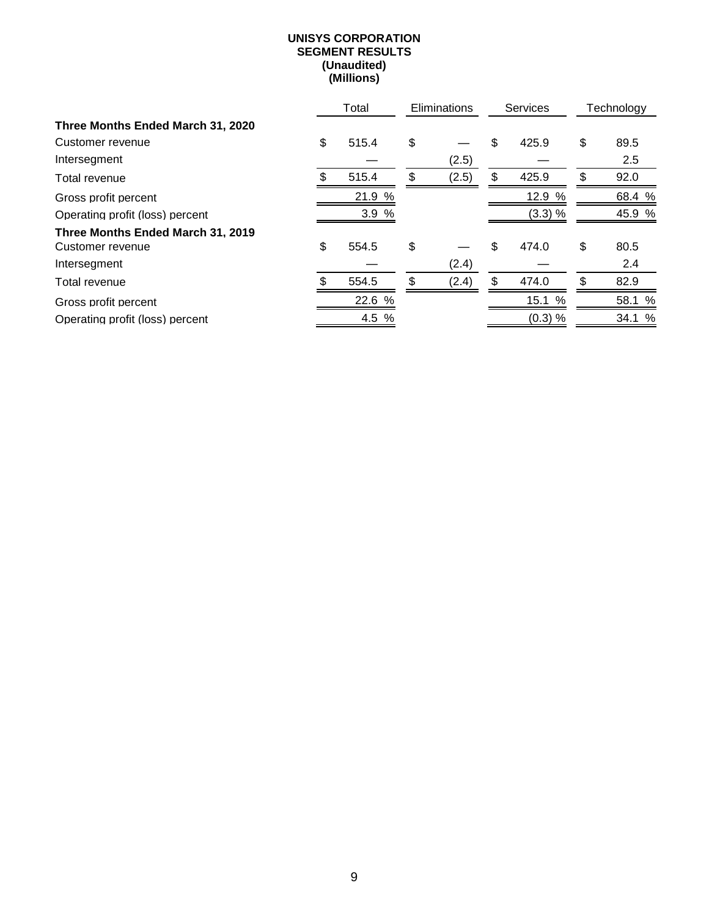#### **UNISYS CORPORATION SEGMENT RESULTS (Unaudited) (Millions)**

|                                   | Total       | Eliminations | <b>Services</b> |    | Technology |
|-----------------------------------|-------------|--------------|-----------------|----|------------|
| Three Months Ended March 31, 2020 |             |              |                 |    |            |
| Customer revenue                  | \$<br>515.4 | \$           | \$<br>425.9     | \$ | 89.5       |
| Intersegment                      |             | (2.5)        |                 |    | 2.5        |
| Total revenue                     | 515.4       | \$<br>(2.5)  | \$<br>425.9     | \$ | 92.0       |
| Gross profit percent              | 21.9<br>%   |              | 12.9 %          |    | 68.4 %     |
| Operating profit (loss) percent   | 3.9%        |              | (3.3) %         |    | 45.9 %     |
| Three Months Ended March 31, 2019 |             |              |                 |    |            |
| Customer revenue                  | \$<br>554.5 | \$           | \$<br>474.0     | \$ | 80.5       |
| Intersegment                      |             | (2.4)        |                 |    | 2.4        |
| Total revenue                     | 554.5       | \$<br>(2.4)  | \$<br>474.0     | \$ | 82.9       |
| Gross profit percent              | 22.6 %      |              | 15.1 %          |    | 58.1 %     |
| Operating profit (loss) percent   | 4.5 %       |              | (0.3) %         |    | 34.1 %     |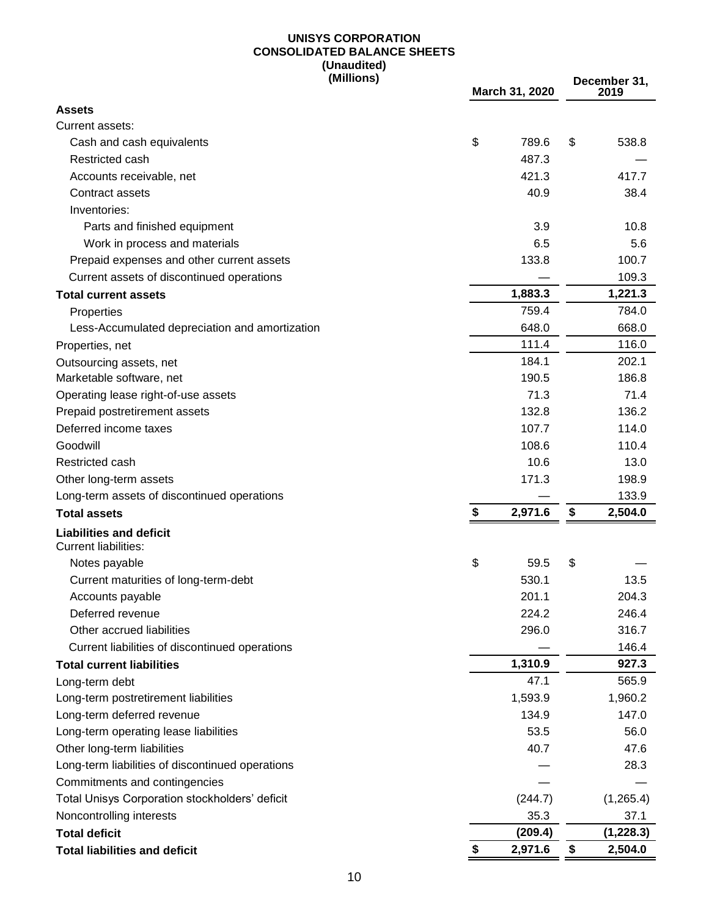#### **UNISYS CORPORATION CONSOLIDATED BALANCE SHEETS (Unaudited) (Millions)**

|                                                               | (Millions) | March 31, 2020 | December 31,<br>2019 |
|---------------------------------------------------------------|------------|----------------|----------------------|
| <b>Assets</b>                                                 |            |                |                      |
| Current assets:                                               |            |                |                      |
| Cash and cash equivalents                                     |            | \$<br>789.6    | \$<br>538.8          |
| Restricted cash                                               |            | 487.3          |                      |
| Accounts receivable, net                                      |            | 421.3          | 417.7                |
| Contract assets                                               |            | 40.9           | 38.4                 |
| Inventories:                                                  |            |                |                      |
| Parts and finished equipment                                  |            | 3.9            | 10.8                 |
| Work in process and materials                                 |            | 6.5            | 5.6                  |
| Prepaid expenses and other current assets                     |            | 133.8          | 100.7                |
| Current assets of discontinued operations                     |            |                | 109.3                |
| <b>Total current assets</b>                                   |            | 1,883.3        | 1,221.3              |
| Properties                                                    |            | 759.4          | 784.0                |
| Less-Accumulated depreciation and amortization                |            | 648.0          | 668.0                |
| Properties, net                                               |            | 111.4          | 116.0                |
| Outsourcing assets, net                                       |            | 184.1          | 202.1                |
| Marketable software, net                                      |            | 190.5          | 186.8                |
| Operating lease right-of-use assets                           |            | 71.3           | 71.4                 |
| Prepaid postretirement assets                                 |            | 132.8          | 136.2                |
| Deferred income taxes                                         |            | 107.7          | 114.0                |
| Goodwill                                                      |            | 108.6          | 110.4                |
| Restricted cash                                               |            | 10.6           | 13.0                 |
| Other long-term assets                                        |            | 171.3          | 198.9                |
| Long-term assets of discontinued operations                   |            |                | 133.9                |
| <b>Total assets</b>                                           |            | \$<br>2,971.6  | \$<br>2,504.0        |
| <b>Liabilities and deficit</b><br><b>Current liabilities:</b> |            |                |                      |
| Notes payable                                                 |            | \$<br>59.5     | \$                   |
| Current maturities of long-term-debt                          |            | 530.1          | 13.5                 |
| Accounts payable                                              |            | 201.1          | 204.3                |
| Deferred revenue                                              |            | 224.2          | 246.4                |
| Other accrued liabilities                                     |            | 296.0          | 316.7                |
| Current liabilities of discontinued operations                |            |                | 146.4                |
| <b>Total current liabilities</b>                              |            | 1,310.9        | 927.3                |
| Long-term debt                                                |            | 47.1           | 565.9                |
| Long-term postretirement liabilities                          |            | 1,593.9        | 1,960.2              |
| Long-term deferred revenue                                    |            | 134.9          | 147.0                |
| Long-term operating lease liabilities                         |            | 53.5           | 56.0                 |
| Other long-term liabilities                                   |            | 40.7           | 47.6                 |
| Long-term liabilities of discontinued operations              |            |                | 28.3                 |
| Commitments and contingencies                                 |            |                |                      |
| Total Unisys Corporation stockholders' deficit                |            | (244.7)        | (1,265.4)            |
| Noncontrolling interests                                      |            | 35.3           | 37.1                 |
| <b>Total deficit</b>                                          |            | (209.4)        | (1, 228.3)           |
| <b>Total liabilities and deficit</b>                          |            | \$<br>2,971.6  | \$<br>2,504.0        |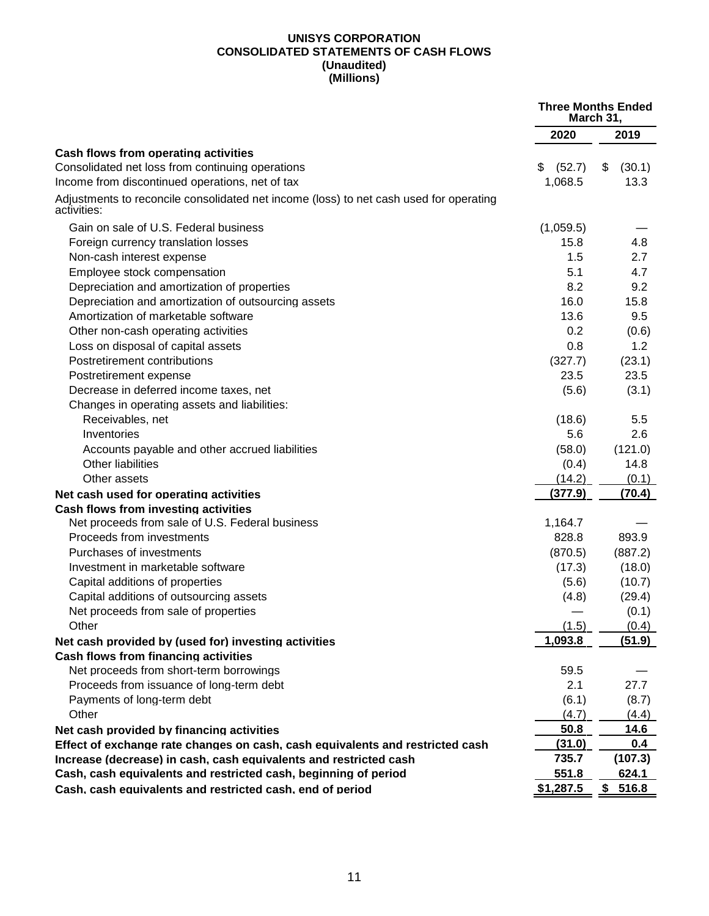#### **UNISYS CORPORATION CONSOLIDATED STATEMENTS OF CASH FLOWS (Unaudited) (Millions)**

|                                                                                                       | <b>Three Months Ended</b><br>March 31, |              |
|-------------------------------------------------------------------------------------------------------|----------------------------------------|--------------|
|                                                                                                       | 2020                                   | 2019         |
| Cash flows from operating activities                                                                  |                                        |              |
| Consolidated net loss from continuing operations                                                      | (52.7)<br>\$                           | \$<br>(30.1) |
| Income from discontinued operations, net of tax                                                       | 1,068.5                                | 13.3         |
| Adjustments to reconcile consolidated net income (loss) to net cash used for operating<br>activities: |                                        |              |
| Gain on sale of U.S. Federal business                                                                 | (1,059.5)                              |              |
| Foreign currency translation losses                                                                   | 15.8                                   | 4.8          |
| Non-cash interest expense                                                                             | 1.5                                    | 2.7          |
| Employee stock compensation                                                                           | 5.1                                    | 4.7          |
| Depreciation and amortization of properties                                                           | 8.2                                    | 9.2          |
| Depreciation and amortization of outsourcing assets                                                   | 16.0                                   | 15.8         |
| Amortization of marketable software                                                                   | 13.6                                   | 9.5          |
| Other non-cash operating activities                                                                   | 0.2                                    | (0.6)        |
| Loss on disposal of capital assets                                                                    | 0.8                                    | 1.2          |
| Postretirement contributions                                                                          | (327.7)                                | (23.1)       |
| Postretirement expense                                                                                | 23.5                                   | 23.5         |
| Decrease in deferred income taxes, net                                                                | (5.6)                                  | (3.1)        |
| Changes in operating assets and liabilities:                                                          |                                        |              |
| Receivables, net                                                                                      | (18.6)                                 | 5.5          |
| Inventories                                                                                           | 5.6                                    | 2.6          |
| Accounts payable and other accrued liabilities                                                        | (58.0)                                 | (121.0)      |
| Other liabilities                                                                                     | (0.4)                                  | 14.8         |
| Other assets                                                                                          | (14.2)                                 | (0.1)        |
| Net cash used for operating activities                                                                | (377.9)                                | (70.4)       |
| <b>Cash flows from investing activities</b>                                                           |                                        |              |
| Net proceeds from sale of U.S. Federal business                                                       | 1,164.7                                |              |
| Proceeds from investments                                                                             | 828.8                                  | 893.9        |
| Purchases of investments                                                                              | (870.5)                                | (887.2)      |
| Investment in marketable software                                                                     | (17.3)                                 | (18.0)       |
| Capital additions of properties                                                                       | (5.6)                                  | (10.7)       |
| Capital additions of outsourcing assets                                                               | (4.8)                                  | (29.4)       |
| Net proceeds from sale of properties                                                                  |                                        | (0.1)        |
| Other                                                                                                 | (1.5)                                  | (0.4)        |
| Net cash provided by (used for) investing activities                                                  | 1,093.8                                | (51.9)       |
| <b>Cash flows from financing activities</b>                                                           |                                        |              |
| Net proceeds from short-term borrowings                                                               | 59.5                                   |              |
| Proceeds from issuance of long-term debt                                                              | 2.1                                    | 27.7         |
| Payments of long-term debt                                                                            | (6.1)                                  | (8.7)        |
| Other                                                                                                 | (4.7)                                  | (4.4)        |
| Net cash provided by financing activities                                                             | 50.8                                   | 14.6         |
| Effect of exchange rate changes on cash, cash equivalents and restricted cash                         | (31.0)                                 | 0.4          |
| Increase (decrease) in cash, cash equivalents and restricted cash                                     | 735.7                                  | (107.3)      |
| Cash, cash equivalents and restricted cash, beginning of period                                       | 551.8                                  | 624.1        |
| Cash, cash equivalents and restricted cash, end of period                                             | \$1,287.5                              | \$516.8      |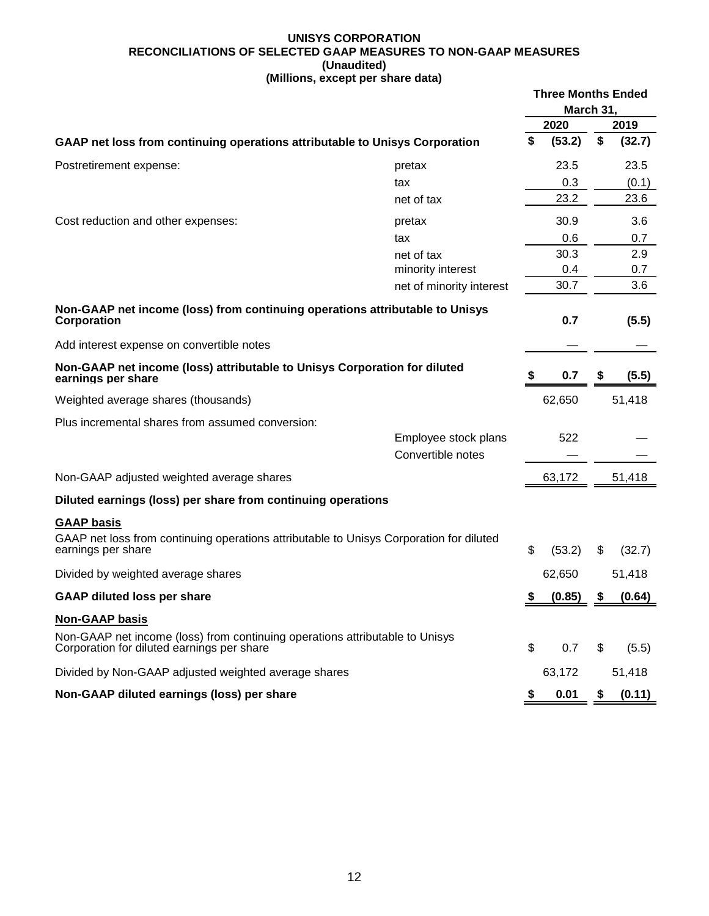#### **UNISYS CORPORATION RECONCILIATIONS OF SELECTED GAAP MEASURES TO NON-GAAP MEASURES (Unaudited) (Millions, except per share data)**

|                                                                                                                            |                          | <b>Three Months Ended</b><br>March 31, |        |    |        |  |
|----------------------------------------------------------------------------------------------------------------------------|--------------------------|----------------------------------------|--------|----|--------|--|
|                                                                                                                            |                          |                                        | 2020   |    | 2019   |  |
| GAAP net loss from continuing operations attributable to Unisys Corporation                                                |                          | \$                                     | (53.2) | \$ | (32.7) |  |
| Postretirement expense:                                                                                                    | pretax                   |                                        | 23.5   |    | 23.5   |  |
|                                                                                                                            | tax                      |                                        | 0.3    |    | (0.1)  |  |
|                                                                                                                            | net of tax               |                                        | 23.2   |    | 23.6   |  |
| Cost reduction and other expenses:                                                                                         | pretax                   |                                        | 30.9   |    | 3.6    |  |
|                                                                                                                            | tax                      |                                        | 0.6    |    | 0.7    |  |
|                                                                                                                            | net of tax               |                                        | 30.3   |    | 2.9    |  |
|                                                                                                                            | minority interest        |                                        | 0.4    |    | 0.7    |  |
|                                                                                                                            | net of minority interest |                                        | 30.7   |    | 3.6    |  |
| Non-GAAP net income (loss) from continuing operations attributable to Unisys<br>Corporation                                |                          |                                        | 0.7    |    | (5.5)  |  |
| Add interest expense on convertible notes                                                                                  |                          |                                        |        |    |        |  |
| Non-GAAP net income (loss) attributable to Unisys Corporation for diluted<br>earnings per share                            |                          |                                        | 0.7    | S  | (5.5)  |  |
| Weighted average shares (thousands)                                                                                        |                          |                                        | 62,650 |    | 51,418 |  |
| Plus incremental shares from assumed conversion:                                                                           |                          |                                        |        |    |        |  |
|                                                                                                                            | Employee stock plans     |                                        | 522    |    |        |  |
|                                                                                                                            | Convertible notes        |                                        |        |    |        |  |
| Non-GAAP adjusted weighted average shares                                                                                  |                          |                                        | 63,172 |    | 51,418 |  |
| Diluted earnings (loss) per share from continuing operations                                                               |                          |                                        |        |    |        |  |
| <b>GAAP basis</b>                                                                                                          |                          |                                        |        |    |        |  |
| GAAP net loss from continuing operations attributable to Unisys Corporation for diluted<br>earnings per share              |                          | \$                                     | (53.2) | \$ | (32.7) |  |
| Divided by weighted average shares                                                                                         |                          |                                        | 62,650 |    | 51,418 |  |
| <b>GAAP diluted loss per share</b>                                                                                         |                          | \$                                     | (0.85) | \$ | (0.64) |  |
| <b>Non-GAAP basis</b>                                                                                                      |                          |                                        |        |    |        |  |
| Non-GAAP net income (loss) from continuing operations attributable to Unisys<br>Corporation for diluted earnings per share |                          | \$                                     | 0.7    | \$ | (5.5)  |  |
| Divided by Non-GAAP adjusted weighted average shares                                                                       |                          |                                        | 63,172 |    | 51,418 |  |
| Non-GAAP diluted earnings (loss) per share                                                                                 |                          | \$                                     | 0.01   | \$ | (0.11) |  |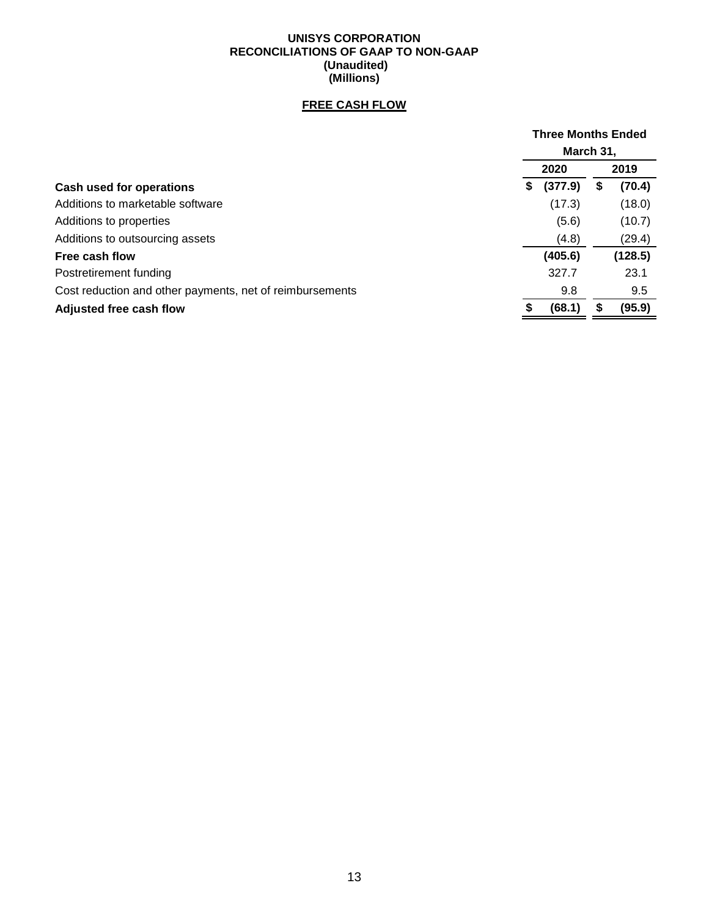#### **UNISYS CORPORATION RECONCILIATIONS OF GAAP TO NON-GAAP (Unaudited) (Millions)**

## **FREE CASH FLOW**

|                                                          |   | <b>Three Months Ended</b> |              |
|----------------------------------------------------------|---|---------------------------|--------------|
|                                                          |   | March 31,                 |              |
|                                                          |   | 2020                      | 2019         |
| Cash used for operations                                 | S | (377.9)                   | \$<br>(70.4) |
| Additions to marketable software                         |   | (17.3)                    | (18.0)       |
| Additions to properties                                  |   | (5.6)                     | (10.7)       |
| Additions to outsourcing assets                          |   | (4.8)                     | (29.4)       |
| <b>Free cash flow</b>                                    |   | (405.6)                   | (128.5)      |
| Postretirement funding                                   |   | 327.7                     | 23.1         |
| Cost reduction and other payments, net of reimbursements |   | 9.8                       | 9.5          |
| Adjusted free cash flow                                  |   | (68.1)                    | (95.9)       |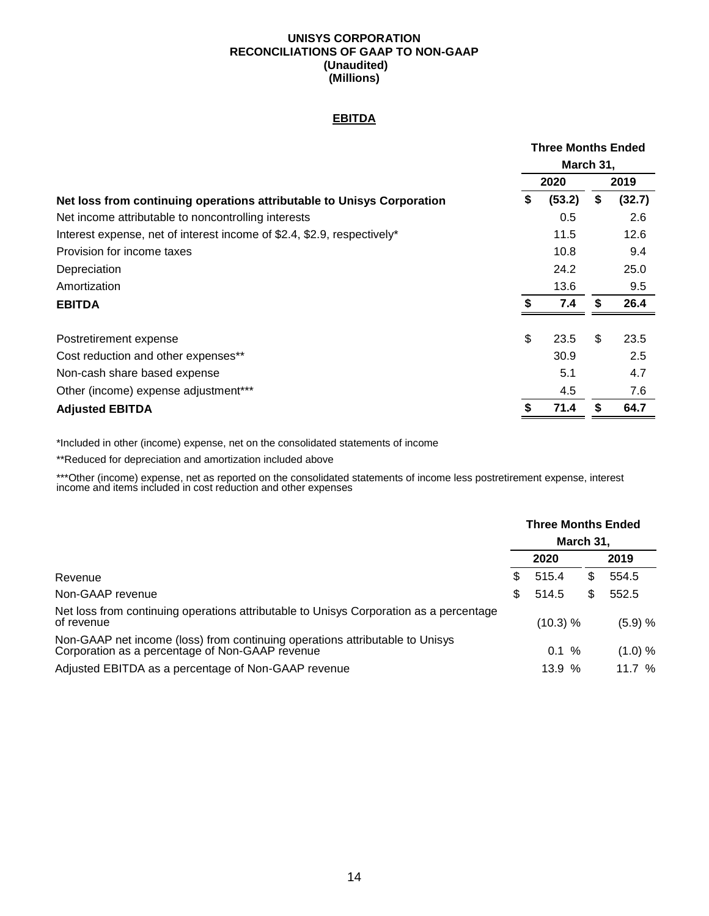#### **UNISYS CORPORATION RECONCILIATIONS OF GAAP TO NON-GAAP (Unaudited) (Millions)**

#### **EBITDA**

|                                                                         | <b>Three Months Ended</b> |              |
|-------------------------------------------------------------------------|---------------------------|--------------|
|                                                                         | March 31,                 |              |
|                                                                         | 2020                      | 2019         |
| Net loss from continuing operations attributable to Unisys Corporation  | \$<br>(53.2)              | \$<br>(32.7) |
| Net income attributable to noncontrolling interests                     | 0.5                       | 2.6          |
| Interest expense, net of interest income of \$2.4, \$2.9, respectively* | 11.5                      | 12.6         |
| Provision for income taxes                                              | 10.8                      | 9.4          |
| Depreciation                                                            | 24.2                      | 25.0         |
| Amortization                                                            | 13.6                      | 9.5          |
| <b>EBITDA</b>                                                           | \$<br>7.4                 | \$<br>26.4   |
| Postretirement expense                                                  | \$<br>23.5                | \$<br>23.5   |
| Cost reduction and other expenses**                                     | 30.9                      | 2.5          |
| Non-cash share based expense                                            | 5.1                       | 4.7          |
| Other (income) expense adjustment***                                    | 4.5                       | 7.6          |
| <b>Adjusted EBITDA</b>                                                  | 71.4                      | \$<br>64.7   |

\*Included in other (income) expense, net on the consolidated statements of income

\*\*Reduced for depreciation and amortization included above

\*\*\*Other (income) expense, net as reported on the consolidated statements of income less postretirement expense, interest income and items included in cost reduction and other expenses

|                                                                                                                                 |          | <b>Three Months Ended</b> | March 31, |          |
|---------------------------------------------------------------------------------------------------------------------------------|----------|---------------------------|-----------|----------|
|                                                                                                                                 |          | 2020                      |           | 2019     |
| Revenue                                                                                                                         | S        | 515.4                     | S         | 554.5    |
| Non-GAAP revenue                                                                                                                | \$.      | 514.5                     | \$        | 552.5    |
| Net loss from continuing operations attributable to Unisys Corporation as a percentage<br>of revenue                            | (10.3) % |                           |           | (5.9) %  |
| Non-GAAP net income (loss) from continuing operations attributable to Unisys<br>Corporation as a percentage of Non-GAAP revenue |          | 0.1%                      |           | (1.0) %  |
| Adjusted EBITDA as a percentage of Non-GAAP revenue                                                                             |          | 13.9%                     |           | 11.7 $%$ |